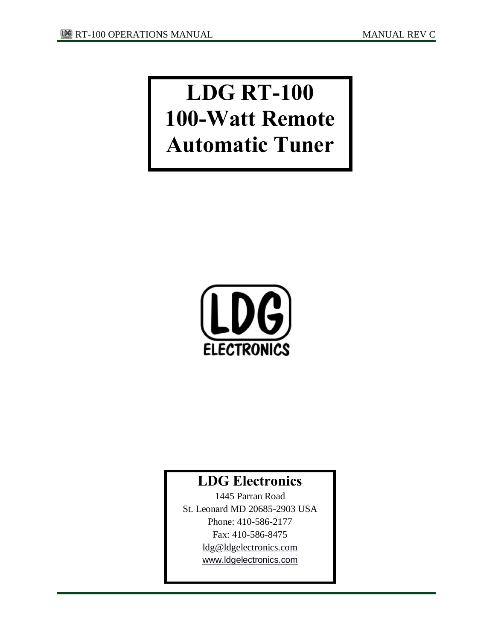# **LDG RT-100 100-Watt Remote Automatic Tuner**



# **LDG Electronics**

1445 Parran Road St. Leonard MD 20685-2903 USA Phone: 410-586-2177 Fax: 410-586-8475 [ldg@ldgelectronics.com](mailto:ldg@ldgelectronics.com) [www.ldgelectronics.com](http://www.ldgelectronics.com/)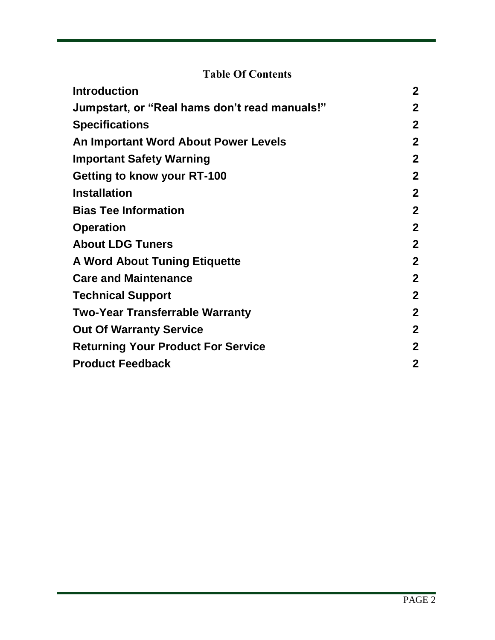# **Table Of Contents**

| <b>Introduction</b>                           | $\mathbf{2}$ |
|-----------------------------------------------|--------------|
| Jumpstart, or "Real hams don't read manuals!" | $\mathbf{2}$ |
| <b>Specifications</b>                         | $\mathbf{2}$ |
| An Important Word About Power Levels          | $\mathbf{2}$ |
| <b>Important Safety Warning</b>               | $\mathbf{2}$ |
| Getting to know your RT-100                   | $\mathbf{2}$ |
| <b>Installation</b>                           | $\mathbf{2}$ |
| <b>Bias Tee Information</b>                   | $\mathbf{2}$ |
| <b>Operation</b>                              | $\mathbf{2}$ |
| <b>About LDG Tuners</b>                       | $\mathbf{2}$ |
| <b>A Word About Tuning Etiquette</b>          | $\mathbf{2}$ |
| <b>Care and Maintenance</b>                   | $\mathbf{2}$ |
| <b>Technical Support</b>                      | $\mathbf{2}$ |
| <b>Two-Year Transferrable Warranty</b>        | $\mathbf{2}$ |
| <b>Out Of Warranty Service</b>                | $\mathbf{2}$ |
| <b>Returning Your Product For Service</b>     | $\mathbf{2}$ |
| <b>Product Feedback</b>                       | $\mathbf 2$  |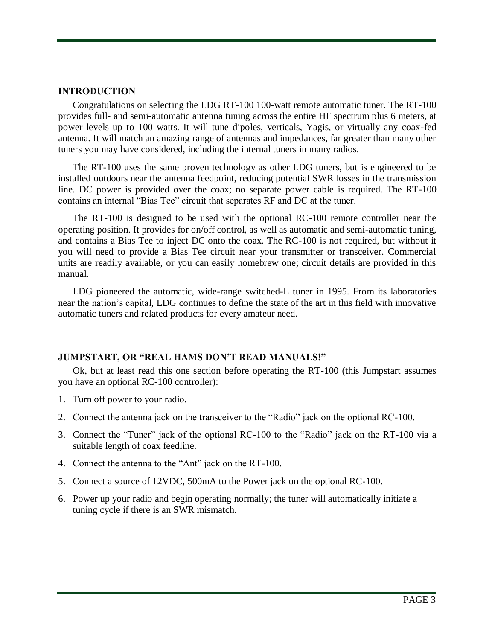## **INTRODUCTION**

Congratulations on selecting the LDG RT-100 100-watt remote automatic tuner. The RT-100 provides full- and semi-automatic antenna tuning across the entire HF spectrum plus 6 meters, at power levels up to 100 watts. It will tune dipoles, verticals, Yagis, or virtually any coax-fed antenna. It will match an amazing range of antennas and impedances, far greater than many other tuners you may have considered, including the internal tuners in many radios.

The RT-100 uses the same proven technology as other LDG tuners, but is engineered to be installed outdoors near the antenna feedpoint, reducing potential SWR losses in the transmission line. DC power is provided over the coax; no separate power cable is required. The RT-100 contains an internal "Bias Tee" circuit that separates RF and DC at the tuner.

The RT-100 is designed to be used with the optional RC-100 remote controller near the operating position. It provides for on/off control, as well as automatic and semi-automatic tuning, and contains a Bias Tee to inject DC onto the coax. The RC-100 is not required, but without it you will need to provide a Bias Tee circuit near your transmitter or transceiver. Commercial units are readily available, or you can easily homebrew one; circuit details are provided in this manual.

LDG pioneered the automatic, wide-range switched-L tuner in 1995. From its laboratories near the nation's capital, LDG continues to define the state of the art in this field with innovative automatic tuners and related products for every amateur need.

# **JUMPSTART, OR "REAL HAMS DON'T READ MANUALS!"**

Ok, but at least read this one section before operating the RT-100 (this Jumpstart assumes you have an optional RC-100 controller):

- 1. Turn off power to your radio.
- 2. Connect the antenna jack on the transceiver to the "Radio" jack on the optional RC-100.
- 3. Connect the "Tuner" jack of the optional RC-100 to the "Radio" jack on the RT-100 via a suitable length of coax feedline.
- 4. Connect the antenna to the "Ant" jack on the RT-100.
- 5. Connect a source of 12VDC, 500mA to the Power jack on the optional RC-100.
- 6. Power up your radio and begin operating normally; the tuner will automatically initiate a tuning cycle if there is an SWR mismatch.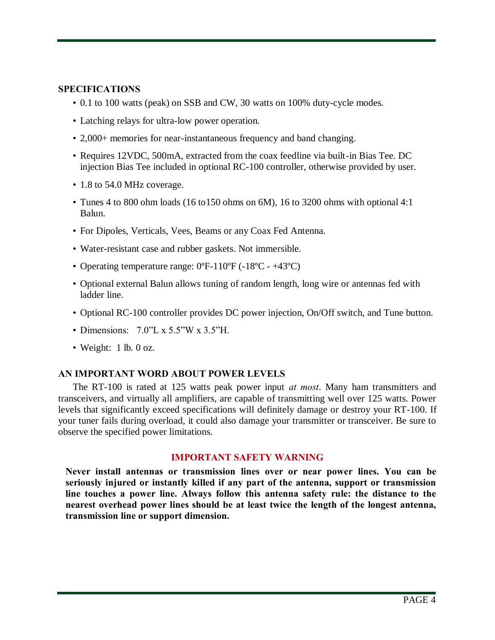## **SPECIFICATIONS**

- 0.1 to 100 watts (peak) on SSB and CW, 30 watts on 100% duty-cycle modes.
- Latching relays for ultra-low power operation.
- 2,000+ memories for near-instantaneous frequency and band changing.
- Requires 12VDC, 500mA, extracted from the coax feedline via built-in Bias Tee. DC injection Bias Tee included in optional RC-100 controller, otherwise provided by user.
- 1.8 to 54.0 MHz coverage.
- Tunes 4 to 800 ohm loads (16 to 150 ohms on 6M), 16 to 3200 ohms with optional 4:1 Balun.
- For Dipoles, Verticals, Vees, Beams or any Coax Fed Antenna.
- Water-resistant case and rubber gaskets. Not immersible.
- Operating temperature range: 0°F-110°F (-18°C +43°C)
- Optional external Balun allows tuning of random length, long wire or antennas fed with ladder line.
- Optional RC-100 controller provides DC power injection, On/Off switch, and Tune button.
- Dimensions: 7.0"L x 5.5"W x 3.5"H.
- Weight: 1 lb. 0 oz.

# **AN IMPORTANT WORD ABOUT POWER LEVELS**

The RT-100 is rated at 125 watts peak power input *at most*. Many ham transmitters and transceivers, and virtually all amplifiers, are capable of transmitting well over 125 watts. Power levels that significantly exceed specifications will definitely damage or destroy your RT-100. If your tuner fails during overload, it could also damage your transmitter or transceiver. Be sure to observe the specified power limitations.

#### **IMPORTANT SAFETY WARNING**

**Never install antennas or transmission lines over or near power lines. You can be seriously injured or instantly killed if any part of the antenna, support or transmission line touches a power line. Always follow this antenna safety rule: the distance to the nearest overhead power lines should be at least twice the length of the longest antenna, transmission line or support dimension.**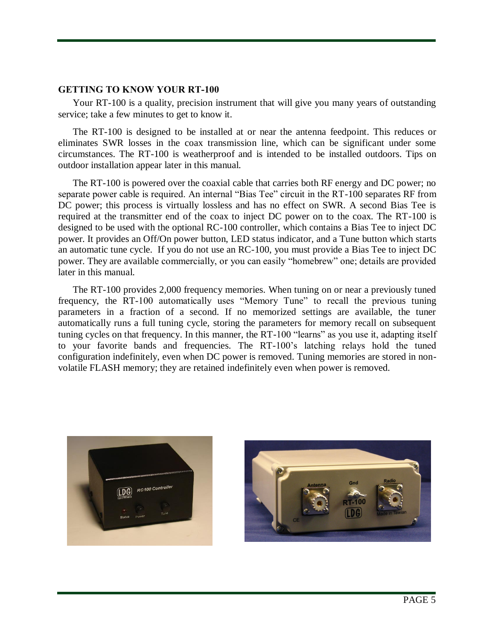#### **GETTING TO KNOW YOUR RT-100**

Your RT-100 is a quality, precision instrument that will give you many years of outstanding service; take a few minutes to get to know it.

The RT-100 is designed to be installed at or near the antenna feedpoint. This reduces or eliminates SWR losses in the coax transmission line, which can be significant under some circumstances. The RT-100 is weatherproof and is intended to be installed outdoors. Tips on outdoor installation appear later in this manual.

The RT-100 is powered over the coaxial cable that carries both RF energy and DC power; no separate power cable is required. An internal "Bias Tee" circuit in the RT-100 separates RF from DC power; this process is virtually lossless and has no effect on SWR. A second Bias Tee is required at the transmitter end of the coax to inject DC power on to the coax. The RT-100 is designed to be used with the optional RC-100 controller, which contains a Bias Tee to inject DC power. It provides an Off/On power button, LED status indicator, and a Tune button which starts an automatic tune cycle. If you do not use an RC-100, you must provide a Bias Tee to inject DC power. They are available commercially, or you can easily "homebrew" one; details are provided later in this manual.

The RT-100 provides 2,000 frequency memories. When tuning on or near a previously tuned frequency, the RT-100 automatically uses "Memory Tune" to recall the previous tuning parameters in a fraction of a second. If no memorized settings are available, the tuner automatically runs a full tuning cycle, storing the parameters for memory recall on subsequent tuning cycles on that frequency. In this manner, the RT-100 "learns" as you use it, adapting itself to your favorite bands and frequencies. The RT-100's latching relays hold the tuned configuration indefinitely, even when DC power is removed. Tuning memories are stored in nonvolatile FLASH memory; they are retained indefinitely even when power is removed.



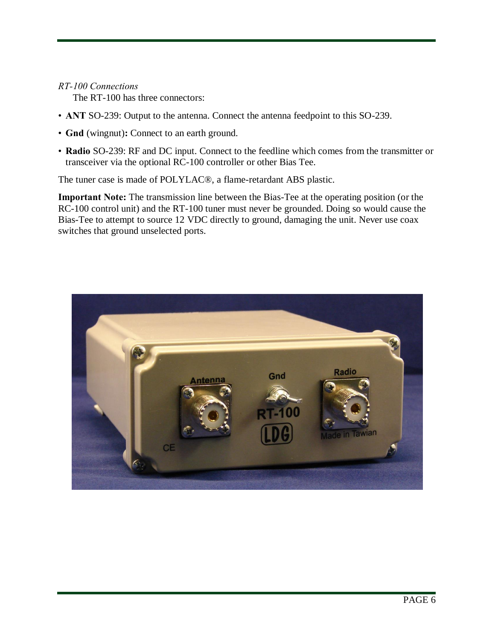# *RT-100 Connections*

The RT-100 has three connectors:

- **ANT** SO-239: Output to the antenna. Connect the antenna feedpoint to this SO-239.
- **Gnd** (wingnut)**:** Connect to an earth ground.
- **Radio** SO-239: RF and DC input. Connect to the feedline which comes from the transmitter or transceiver via the optional RC-100 controller or other Bias Tee.

The tuner case is made of POLYLAC®, a flame-retardant ABS plastic.

**Important Note:** The transmission line between the Bias-Tee at the operating position (or the RC-100 control unit) and the RT-100 tuner must never be grounded. Doing so would cause the Bias-Tee to attempt to source 12 VDC directly to ground, damaging the unit. Never use coax switches that ground unselected ports.

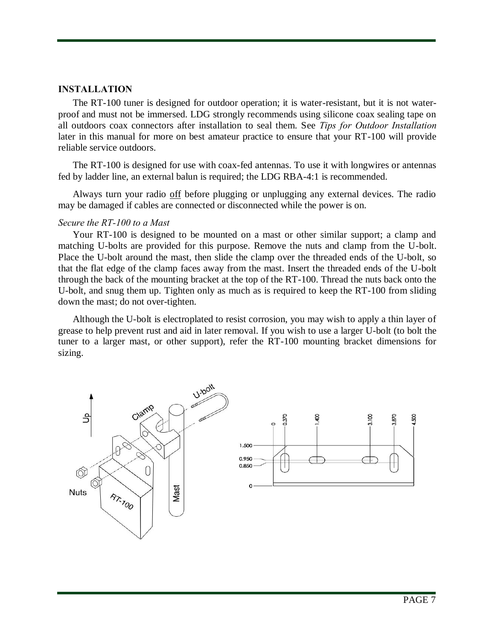#### **INSTALLATION**

The RT-100 tuner is designed for outdoor operation; it is water-resistant, but it is not waterproof and must not be immersed. LDG strongly recommends using silicone coax sealing tape on all outdoors coax connectors after installation to seal them. See *Tips for Outdoor Installation* later in this manual for more on best amateur practice to ensure that your RT-100 will provide reliable service outdoors.

The RT-100 is designed for use with coax-fed antennas. To use it with longwires or antennas fed by ladder line, an external balun is required; the LDG RBA-4:1 is recommended.

Always turn your radio off before plugging or unplugging any external devices. The radio may be damaged if cables are connected or disconnected while the power is on.

#### *Secure the RT-100 to a Mast*

Your RT-100 is designed to be mounted on a mast or other similar support; a clamp and matching U-bolts are provided for this purpose. Remove the nuts and clamp from the U-bolt. Place the U-bolt around the mast, then slide the clamp over the threaded ends of the U-bolt, so that the flat edge of the clamp faces away from the mast. Insert the threaded ends of the U-bolt through the back of the mounting bracket at the top of the RT-100. Thread the nuts back onto the U-bolt, and snug them up. Tighten only as much as is required to keep the RT-100 from sliding down the mast; do not over-tighten.

Although the U-bolt is electroplated to resist corrosion, you may wish to apply a thin layer of grease to help prevent rust and aid in later removal. If you wish to use a larger U-bolt (to bolt the tuner to a larger mast, or other support), refer the RT-100 mounting bracket dimensions for sizing.

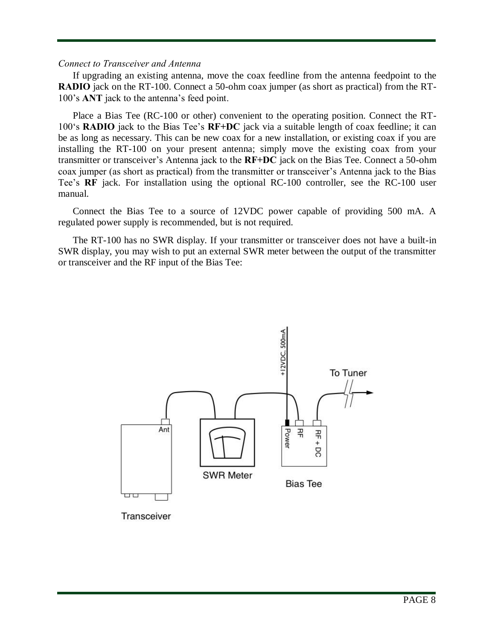#### *Connect to Transceiver and Antenna*

If upgrading an existing antenna, move the coax feedline from the antenna feedpoint to the **RADIO** jack on the RT-100. Connect a 50-ohm coax jumper (as short as practical) from the RT-100's **ANT** jack to the antenna's feed point.

Place a Bias Tee (RC-100 or other) convenient to the operating position. Connect the RT-100's **RADIO** jack to the Bias Tee's **RF+DC** jack via a suitable length of coax feedline; it can be as long as necessary. This can be new coax for a new installation, or existing coax if you are installing the RT-100 on your present antenna; simply move the existing coax from your transmitter or transceiver's Antenna jack to the **RF+DC** jack on the Bias Tee. Connect a 50-ohm coax jumper (as short as practical) from the transmitter or transceiver's Antenna jack to the Bias Tee's **RF** jack. For installation using the optional RC-100 controller, see the RC-100 user manual.

Connect the Bias Tee to a source of 12VDC power capable of providing 500 mA. A regulated power supply is recommended, but is not required.

The RT-100 has no SWR display. If your transmitter or transceiver does not have a built-in SWR display, you may wish to put an external SWR meter between the output of the transmitter or transceiver and the RF input of the Bias Tee:



Transceiver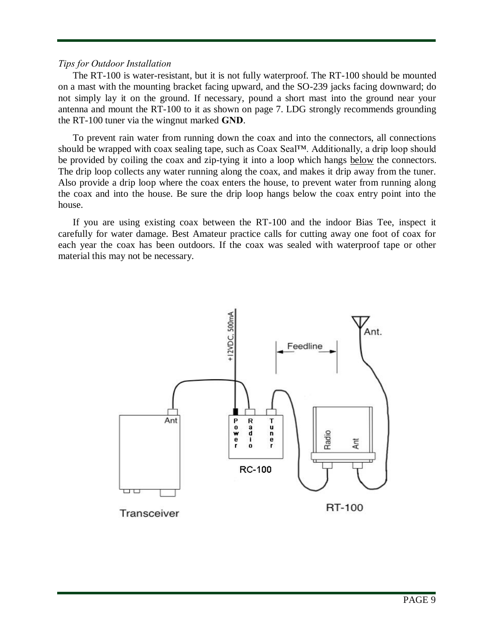#### *Tips for Outdoor Installation*

The RT-100 is water-resistant, but it is not fully waterproof. The RT-100 should be mounted on a mast with the mounting bracket facing upward, and the SO-239 jacks facing downward; do not simply lay it on the ground. If necessary, pound a short mast into the ground near your antenna and mount the RT-100 to it as shown on page 7. LDG strongly recommends grounding the RT-100 tuner via the wingnut marked **GND**.

To prevent rain water from running down the coax and into the connectors, all connections should be wrapped with coax sealing tape, such as Coax Seal™. Additionally, a drip loop should be provided by coiling the coax and zip-tying it into a loop which hangs below the connectors. The drip loop collects any water running along the coax, and makes it drip away from the tuner. Also provide a drip loop where the coax enters the house, to prevent water from running along the coax and into the house. Be sure the drip loop hangs below the coax entry point into the house.

If you are using existing coax between the RT-100 and the indoor Bias Tee, inspect it carefully for water damage. Best Amateur practice calls for cutting away one foot of coax for each year the coax has been outdoors. If the coax was sealed with waterproof tape or other material this may not be necessary.

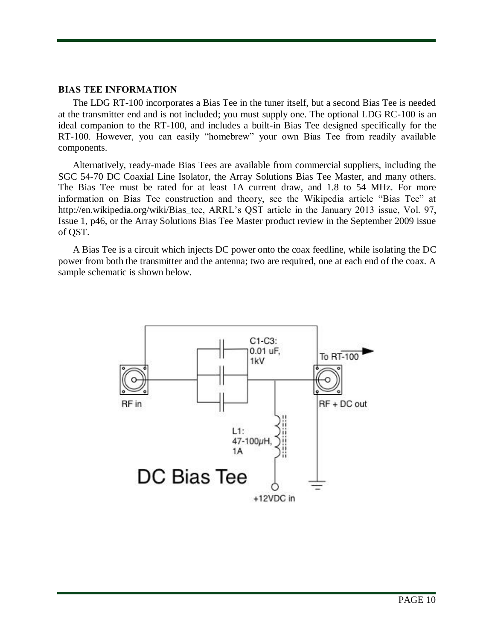#### **BIAS TEE INFORMATION**

The LDG RT-100 incorporates a Bias Tee in the tuner itself, but a second Bias Tee is needed at the transmitter end and is not included; you must supply one. The optional LDG RC-100 is an ideal companion to the RT-100, and includes a built-in Bias Tee designed specifically for the RT-100. However, you can easily "homebrew" your own Bias Tee from readily available components.

Alternatively, ready-made Bias Tees are available from commercial suppliers, including the SGC 54-70 DC Coaxial Line Isolator, the Array Solutions Bias Tee Master, and many others. The Bias Tee must be rated for at least 1A current draw, and 1.8 to 54 MHz. For more information on Bias Tee construction and theory, see the Wikipedia article "Bias Tee" at http://en.wikipedia.org/wiki/Bias\_tee, ARRL's QST article in the January 2013 issue, Vol. 97, Issue 1, p46, or the Array Solutions Bias Tee Master product review in the September 2009 issue of QST.

A Bias Tee is a circuit which injects DC power onto the coax feedline, while isolating the DC power from both the transmitter and the antenna; two are required, one at each end of the coax. A sample schematic is shown below.

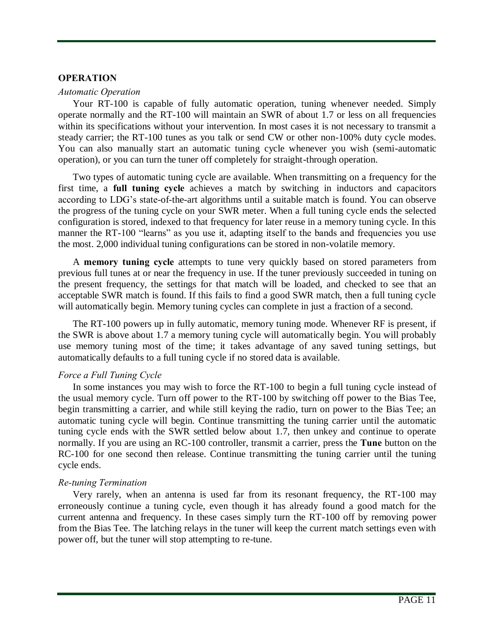#### **OPERATION**

#### *Automatic Operation*

Your RT-100 is capable of fully automatic operation, tuning whenever needed. Simply operate normally and the RT-100 will maintain an SWR of about 1.7 or less on all frequencies within its specifications without your intervention. In most cases it is not necessary to transmit a steady carrier; the RT-100 tunes as you talk or send CW or other non-100% duty cycle modes. You can also manually start an automatic tuning cycle whenever you wish (semi-automatic operation), or you can turn the tuner off completely for straight-through operation.

Two types of automatic tuning cycle are available. When transmitting on a frequency for the first time, a **full tuning cycle** achieves a match by switching in inductors and capacitors according to LDG's state-of-the-art algorithms until a suitable match is found. You can observe the progress of the tuning cycle on your SWR meter. When a full tuning cycle ends the selected configuration is stored, indexed to that frequency for later reuse in a memory tuning cycle. In this manner the RT-100 "learns" as you use it, adapting itself to the bands and frequencies you use the most. 2,000 individual tuning configurations can be stored in non-volatile memory.

A **memory tuning cycle** attempts to tune very quickly based on stored parameters from previous full tunes at or near the frequency in use. If the tuner previously succeeded in tuning on the present frequency, the settings for that match will be loaded, and checked to see that an acceptable SWR match is found. If this fails to find a good SWR match, then a full tuning cycle will automatically begin. Memory tuning cycles can complete in just a fraction of a second.

The RT-100 powers up in fully automatic, memory tuning mode. Whenever RF is present, if the SWR is above about 1.7 a memory tuning cycle will automatically begin. You will probably use memory tuning most of the time; it takes advantage of any saved tuning settings, but automatically defaults to a full tuning cycle if no stored data is available.

#### *Force a Full Tuning Cycle*

In some instances you may wish to force the RT-100 to begin a full tuning cycle instead of the usual memory cycle. Turn off power to the RT-100 by switching off power to the Bias Tee, begin transmitting a carrier, and while still keying the radio, turn on power to the Bias Tee; an automatic tuning cycle will begin. Continue transmitting the tuning carrier until the automatic tuning cycle ends with the SWR settled below about 1.7, then unkey and continue to operate normally. If you are using an RC-100 controller, transmit a carrier, press the **Tune** button on the RC-100 for one second then release. Continue transmitting the tuning carrier until the tuning cycle ends.

# *Re-tuning Termination*

Very rarely, when an antenna is used far from its resonant frequency, the RT-100 may erroneously continue a tuning cycle, even though it has already found a good match for the current antenna and frequency. In these cases simply turn the RT-100 off by removing power from the Bias Tee. The latching relays in the tuner will keep the current match settings even with power off, but the tuner will stop attempting to re-tune.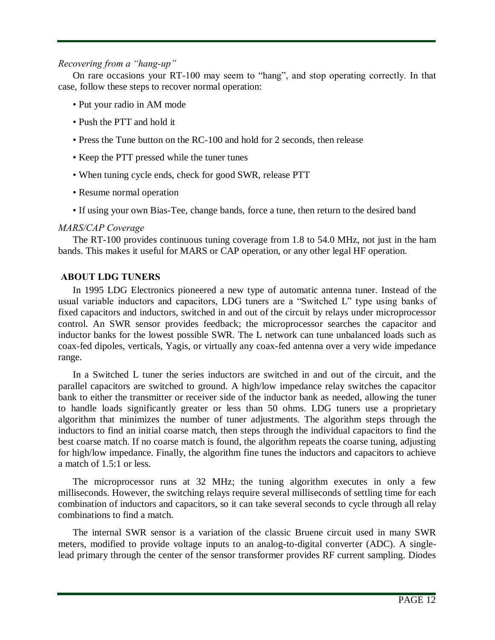## *Recovering from a "hang-up"*

On rare occasions your RT-100 may seem to "hang", and stop operating correctly. In that case, follow these steps to recover normal operation:

- Put your radio in AM mode
- Push the PTT and hold it
- Press the Tune button on the RC-100 and hold for 2 seconds, then release
- Keep the PTT pressed while the tuner tunes
- When tuning cycle ends, check for good SWR, release PTT
- Resume normal operation
- If using your own Bias-Tee, change bands, force a tune, then return to the desired band

# *MARS/CAP Coverage*

The RT-100 provides continuous tuning coverage from 1.8 to 54.0 MHz, not just in the ham bands. This makes it useful for MARS or CAP operation, or any other legal HF operation.

# **ABOUT LDG TUNERS**

In 1995 LDG Electronics pioneered a new type of automatic antenna tuner. Instead of the usual variable inductors and capacitors, LDG tuners are a "Switched L" type using banks of fixed capacitors and inductors, switched in and out of the circuit by relays under microprocessor control. An SWR sensor provides feedback; the microprocessor searches the capacitor and inductor banks for the lowest possible SWR. The L network can tune unbalanced loads such as coax-fed dipoles, verticals, Yagis, or virtually any coax-fed antenna over a very wide impedance range.

In a Switched L tuner the series inductors are switched in and out of the circuit, and the parallel capacitors are switched to ground. A high/low impedance relay switches the capacitor bank to either the transmitter or receiver side of the inductor bank as needed, allowing the tuner to handle loads significantly greater or less than 50 ohms. LDG tuners use a proprietary algorithm that minimizes the number of tuner adjustments. The algorithm steps through the inductors to find an initial coarse match, then steps through the individual capacitors to find the best coarse match. If no coarse match is found, the algorithm repeats the coarse tuning, adjusting for high/low impedance. Finally, the algorithm fine tunes the inductors and capacitors to achieve a match of 1.5:1 or less.

The microprocessor runs at 32 MHz; the tuning algorithm executes in only a few milliseconds. However, the switching relays require several milliseconds of settling time for each combination of inductors and capacitors, so it can take several seconds to cycle through all relay combinations to find a match.

The internal SWR sensor is a variation of the classic Bruene circuit used in many SWR meters, modified to provide voltage inputs to an analog-to-digital converter (ADC). A singlelead primary through the center of the sensor transformer provides RF current sampling. Diodes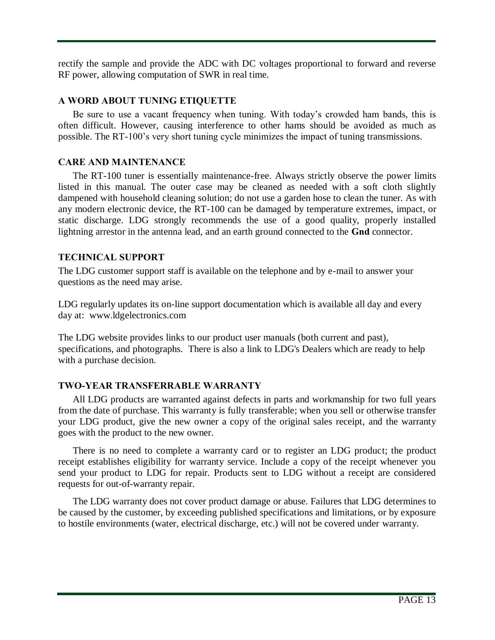rectify the sample and provide the ADC with DC voltages proportional to forward and reverse RF power, allowing computation of SWR in real time.

# **A WORD ABOUT TUNING ETIQUETTE**

Be sure to use a vacant frequency when tuning. With today's crowded ham bands, this is often difficult. However, causing interference to other hams should be avoided as much as possible. The RT-100's very short tuning cycle minimizes the impact of tuning transmissions.

# **CARE AND MAINTENANCE**

The RT-100 tuner is essentially maintenance-free. Always strictly observe the power limits listed in this manual. The outer case may be cleaned as needed with a soft cloth slightly dampened with household cleaning solution; do not use a garden hose to clean the tuner. As with any modern electronic device, the RT-100 can be damaged by temperature extremes, impact, or static discharge. LDG strongly recommends the use of a good quality, properly installed lightning arrestor in the antenna lead, and an earth ground connected to the **Gnd** connector.

# **TECHNICAL SUPPORT**

The LDG customer support staff is available on the telephone and by e-mail to answer your questions as the need may arise.

LDG regularly updates its on-line support documentation which is available all day and every day at: [www.ldgelectronics.com](http://www.ldgelectronics.com/)

The LDG website provides links to our product user manuals (both current and past), specifications, and photographs. There is also a link to LDG's Dealers which are ready to help with a purchase decision.

# **TWO-YEAR TRANSFERRABLE WARRANTY**

All LDG products are warranted against defects in parts and workmanship for two full years from the date of purchase. This warranty is fully transferable; when you sell or otherwise transfer your LDG product, give the new owner a copy of the original sales receipt, and the warranty goes with the product to the new owner.

There is no need to complete a warranty card or to register an LDG product; the product receipt establishes eligibility for warranty service. Include a copy of the receipt whenever you send your product to LDG for repair. Products sent to LDG without a receipt are considered requests for out-of-warranty repair.

The LDG warranty does not cover product damage or abuse. Failures that LDG determines to be caused by the customer, by exceeding published specifications and limitations, or by exposure to hostile environments (water, electrical discharge, etc.) will not be covered under warranty.